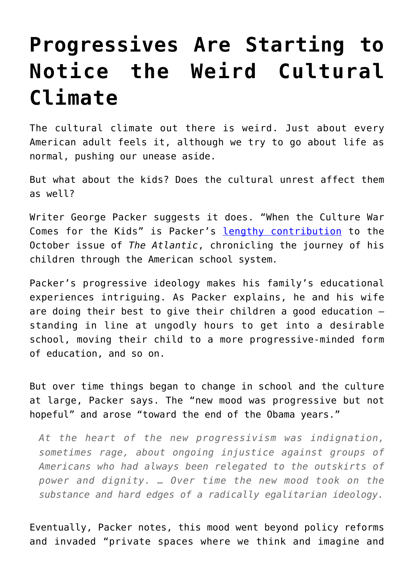## **[Progressives Are Starting to](https://intellectualtakeout.org/2019/09/progressives-are-starting-to-notice-the-weird-cultural-climate/) [Notice the Weird Cultural](https://intellectualtakeout.org/2019/09/progressives-are-starting-to-notice-the-weird-cultural-climate/) [Climate](https://intellectualtakeout.org/2019/09/progressives-are-starting-to-notice-the-weird-cultural-climate/)**

The cultural climate out there is weird. Just about every American adult feels it, although we try to go about life as normal, pushing our unease aside.

But what about the kids? Does the cultural unrest affect them as well?

Writer George Packer suggests it does. "When the Culture War Comes for the Kids" is Packer's [lengthy contribution](https://www.theatlantic.com/magazine/archive/2019/10/when-the-culture-war-comes-for-the-kids/596668/) to the October issue of *The Atlantic*, chronicling the journey of his children through the American school system*.*

Packer's progressive ideology makes his family's educational experiences intriguing. As Packer explains, he and his wife are doing their best to give their children a good education – standing in line at ungodly hours to get into a desirable school, moving their child to a more progressive-minded form of education, and so on.

But over time things began to change in school and the culture at large, Packer says. The "new mood was progressive but not hopeful" and arose "toward the end of the Obama years."

*At the heart of the new progressivism was indignation, sometimes rage, about ongoing injustice against groups of Americans who had always been relegated to the outskirts of power and dignity. … Over time the new mood took on the substance and hard edges of a radically egalitarian ideology.*

Eventually, Packer notes, this mood went beyond policy reforms and invaded "private spaces where we think and imagine and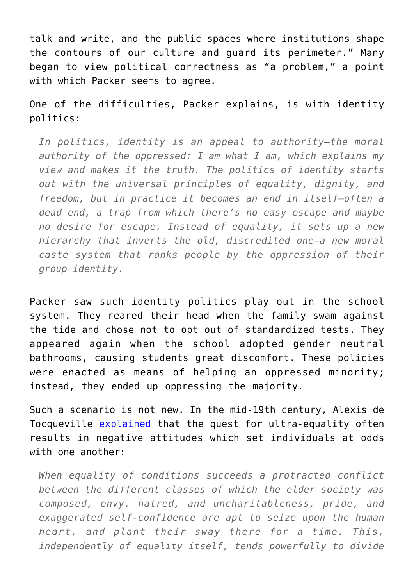talk and write, and the public spaces where institutions shape the contours of our culture and guard its perimeter." Many began to view political correctness as "a problem," a point with which Packer seems to agree.

One of the difficulties, Packer explains, is with identity politics:

*In politics, identity is an appeal to authority—the moral authority of the oppressed: I am what I am, which explains my view and makes it the truth. The politics of identity starts out with the universal principles of equality, dignity, and freedom, but in practice it becomes an end in itself—often a dead end, a trap from which there's no easy escape and maybe no desire for escape. Instead of equality, it sets up a new hierarchy that inverts the old, discredited one—a new moral caste system that ranks people by the oppression of their group identity.*

Packer saw such identity politics play out in the school system. They reared their head when the family swam against the tide and chose not to opt out of standardized tests. They appeared again when the school adopted gender neutral bathrooms, causing students great discomfort. These policies were enacted as means of helping an oppressed minority; instead, they ended up oppressing the majority.

Such a scenario is not new. In the mid-19th century, Alexis de Tocqueville [explained](https://www.gutenberg.org/files/816/816-h/816-h.htm#link2HCH0054) that the quest for ultra-equality often results in negative attitudes which set individuals at odds with one another:

*When equality of conditions succeeds a protracted conflict between the different classes of which the elder society was composed, envy, hatred, and uncharitableness, pride, and exaggerated self-confidence are apt to seize upon the human heart, and plant their sway there for a time. This, independently of equality itself, tends powerfully to divide*